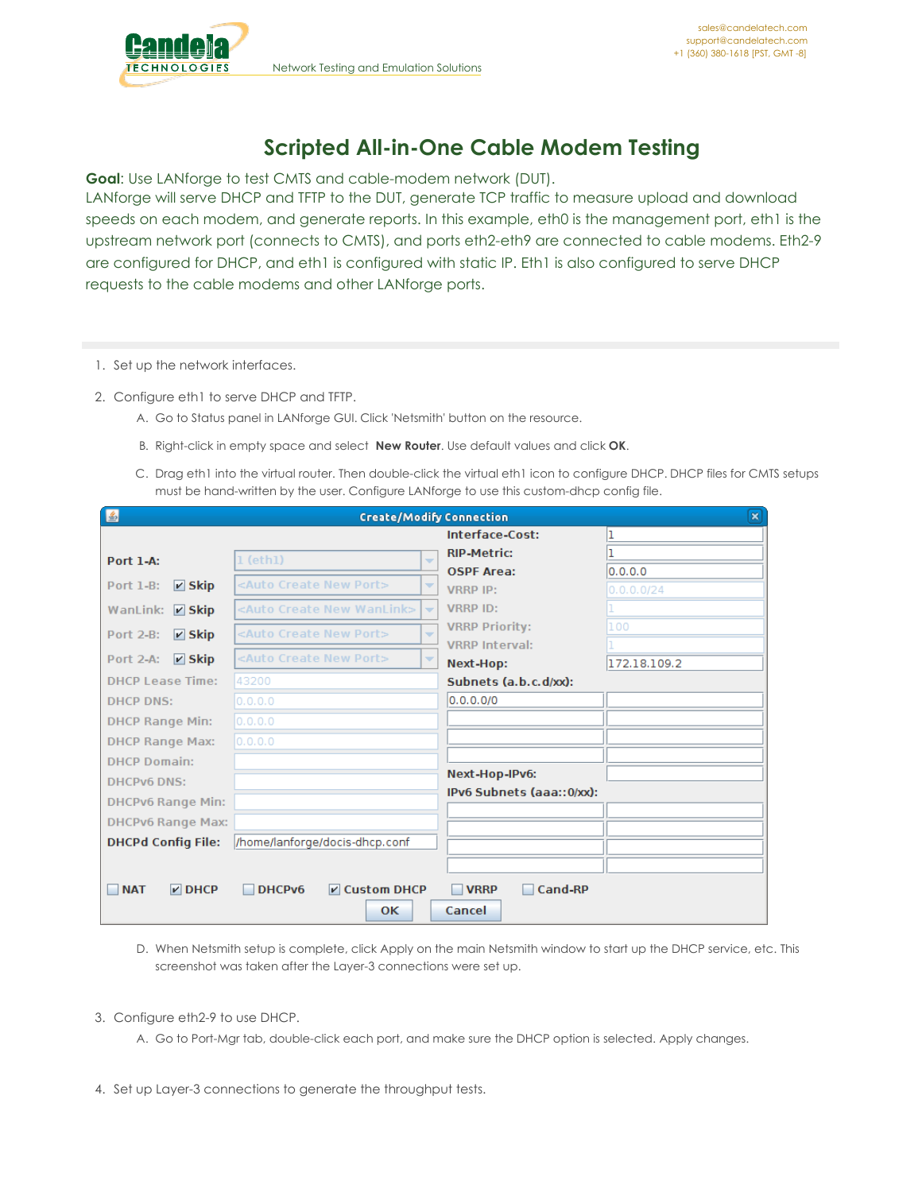

## **Scripted All-in-One Cable Modem Testing**

**Goal**: Use LANforge to test CMTS and cable-modem network (DUT).

LANforge will serve DHCP and TFTP to the DUT, generate TCP traffic to measure upload and download speeds on each modem, and generate reports. In this example, eth0 is the management port, eth1 is the upstream network port (connects to CMTS), and ports eth2-eth9 are connected to cable modems. Eth2-9 are configured for DHCP, and eth1 is configured with static IP. Eth1 is also configured to serve DHCP requests to the cable modems and other LANforge ports.

- 1. Set up the network interfaces.
- 2. Configure eth1 to serve DHCP and TFTP.
	- A. Go to Status panel in LANforge GUI. Click 'Netsmith' button on the resource.
	- B. Right-click in empty space and select **New Router**. Use default values and click **OK**.
	- C. Drag eth1 into the virtual router. Then double-click the virtual eth1 icon to configure DHCP. DHCP files for CMTS setups must be hand-written by the user. Configure LANforge to use this custom-dhcp config file.

| 图                                   |                                                                                   | <b>Create/Modify Connection</b> | $\mathbf{x}$ |  |  |  |  |
|-------------------------------------|-----------------------------------------------------------------------------------|---------------------------------|--------------|--|--|--|--|
|                                     |                                                                                   | Interface-Cost:                 |              |  |  |  |  |
| <b>Port 1-A:</b>                    | $1$ (eth $1$ )<br>÷                                                               | <b>RIP-Metric:</b>              |              |  |  |  |  |
|                                     |                                                                                   | <b>OSPF Area:</b>               | 0.0.0.0      |  |  |  |  |
| $V$ Skip<br><b>Port 1-B:</b>        | <auto create="" new="" port=""><br/>▼</auto>                                      | <b>VRRP IP:</b>                 | 0.0.0.0/24   |  |  |  |  |
| WanLink:<br>$V$ Skip                | <auto create="" new="" wanlink=""><br/><math>\overline{\phantom{a}}</math></auto> | <b>VRRP ID:</b>                 |              |  |  |  |  |
| Port 2-B:<br>$V$ Skip               | <auto create="" new="" port=""><br/><math>\overline{\phantom{a}}</math></auto>    | <b>VRRP Priority:</b>           | 100          |  |  |  |  |
|                                     |                                                                                   | <b>VRRP Interval:</b>           |              |  |  |  |  |
| $V$ Skip<br><b>Port 2-A:</b>        | <auto create="" new="" port=""><br/><math>\overline{\phantom{a}}</math></auto>    | Next-Hop:                       | 172.18.109.2 |  |  |  |  |
| <b>DHCP Lease Time:</b>             | 43200                                                                             | Subnets (a.b.c.d/xx):           |              |  |  |  |  |
| <b>DHCP DNS:</b>                    | 0.0.0.0                                                                           | 0.0.0.0/0                       |              |  |  |  |  |
| <b>DHCP Range Min:</b>              | [0, 0, 0, 0]                                                                      |                                 |              |  |  |  |  |
| <b>DHCP Range Max:</b>              | 0.0.0.0                                                                           |                                 |              |  |  |  |  |
| <b>DHCP Domain:</b>                 |                                                                                   |                                 |              |  |  |  |  |
| <b>DHCPv6 DNS:</b>                  |                                                                                   | Next-Hop-IPv6:                  |              |  |  |  |  |
| <b>DHCPv6 Range Min:</b>            |                                                                                   | IPv6 Subnets (aaa::0/xx):       |              |  |  |  |  |
| <b>DHCPv6 Range Max:</b>            |                                                                                   |                                 |              |  |  |  |  |
| <b>DHCPd Config File:</b>           | /home/lanforge/docis-dhcp.conf                                                    |                                 |              |  |  |  |  |
|                                     |                                                                                   |                                 |              |  |  |  |  |
|                                     |                                                                                   |                                 |              |  |  |  |  |
| <b>NAT</b><br>$\triangleright$ DHCP | DHCPv6<br><b>Z</b> Custom DHCP                                                    | Cand-RP<br><b>VRRP</b>          |              |  |  |  |  |
|                                     | OК                                                                                | Cancel                          |              |  |  |  |  |

D. When Netsmith setup is complete, click Apply on the main Netsmith window to start up the DHCP service, etc. This screenshot was taken after the Layer-3 connections were set up.

- 3. Configure eth2-9 to use DHCP.
	- A. Go to Port-Mgr tab, double-click each port, and make sure the DHCP option is selected. Apply changes.
- 4. Set up Layer-3 connections to generate the throughput tests.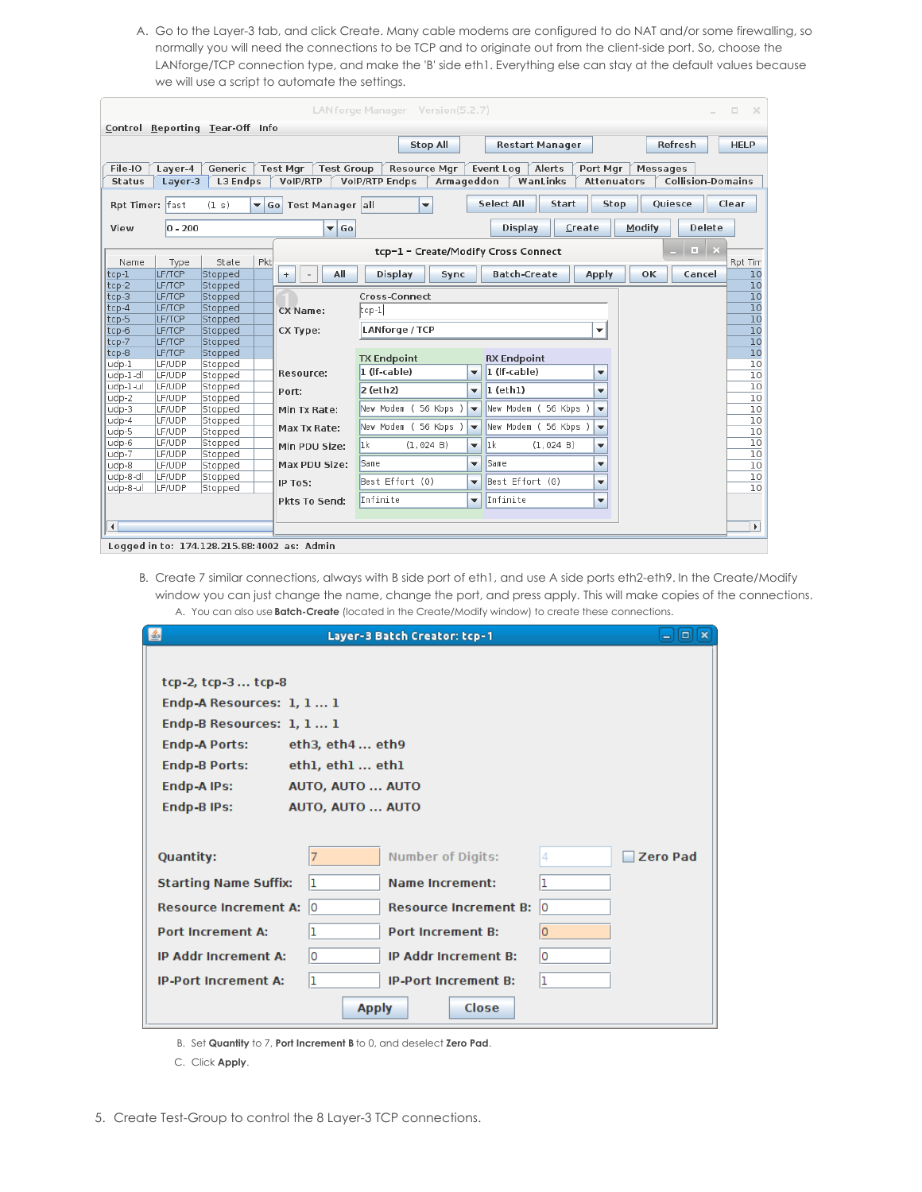A. Go to the Layer-3 tab, and click Create. Many cable modems are configured to do NAT and/or some firewalling, so normally you will need the connections to be TCP and to originate out from the client-side port. So, choose the LANforge/TCP connection type, and make the 'B' side eth1. Everything else can stay at the default values because we will use a script to automate the settings.

|                                                                                                                                                       |                  |                    |     |                                             | LANforge Manager Version(5.2.7) |                          |                       |                          |        | $\Box$<br>$\times$    |  |
|-------------------------------------------------------------------------------------------------------------------------------------------------------|------------------|--------------------|-----|---------------------------------------------|---------------------------------|--------------------------|-----------------------|--------------------------|--------|-----------------------|--|
| Control Reporting Tear-Off Info                                                                                                                       |                  |                    |     |                                             |                                 |                          |                       |                          |        |                       |  |
| Refresh<br><b>Stop All</b><br><b>HELP</b><br><b>Restart Manager</b>                                                                                   |                  |                    |     |                                             |                                 |                          |                       |                          |        |                       |  |
| File-IO<br>Generic<br><b>Test Mgr</b><br><b>Test Group</b><br><b>Resource Mgr</b><br>Event Log<br>Alerts<br>Port Mgr<br>Messages<br>Layer-4           |                  |                    |     |                                             |                                 |                          |                       |                          |        |                       |  |
| <b>Collision-Domains</b><br>L3 Endps<br>VoIP/RTP<br><b>VolP/RTP Endps</b><br>Armageddon<br>WanLinks<br><b>Status</b><br>Layer-3<br><b>Attenuators</b> |                  |                    |     |                                             |                                 |                          |                       |                          |        |                       |  |
| <b>Select All</b><br>Quiesce<br>Clear<br>Start<br>Stop<br>Rpt Timer: fast<br>Go Test Manager all<br>(1 s)<br>$\overline{\mathbf{v}}$<br>▼             |                  |                    |     |                                             |                                 |                          |                       |                          |        |                       |  |
| View                                                                                                                                                  | $ 0 - 200$       |                    |     | $\blacktriangledown$ Go                     |                                 |                          | Display<br>Create     |                          | Modify | <b>Delete</b>         |  |
| $\Box$ $\times$<br>tcp-1 - Create/Modify Cross Connect                                                                                                |                  |                    |     |                                             |                                 |                          |                       |                          |        |                       |  |
| Name                                                                                                                                                  | Type             | State              | Pkt |                                             |                                 |                          |                       |                          |        | Rpt Tim               |  |
| $top-1$                                                                                                                                               | LF/TCP           | Stopped            |     | All<br>$^{+}$                               | <b>Display</b><br>Sync          |                          | <b>Batch-Create</b>   | <b>Apply</b>             | OK     | Cancel<br>10          |  |
| $tcp-2$                                                                                                                                               | LF/TCP           | Stopped            |     |                                             |                                 |                          |                       |                          |        | 10                    |  |
| $tcp-3$                                                                                                                                               | LF/TCP           | Stopped            |     |                                             | Cross-Connect                   |                          |                       |                          |        | 10                    |  |
| $top-4$                                                                                                                                               | LF/TCP           | Stopped            |     | <b>CX Name:</b>                             | $ top-1 $                       |                          |                       |                          |        | 10                    |  |
| $tcp-5$                                                                                                                                               | LF/TCP           | Stopped            |     |                                             |                                 |                          |                       |                          |        | 10                    |  |
| $tcp-6$                                                                                                                                               | LF/TCP           | Stopped            |     | CX Type:                                    | LANforge / TCP                  |                          |                       | $\overline{\mathbf{v}}$  |        | 10                    |  |
| tcp-7                                                                                                                                                 | LF/TCP           | Stopped            |     |                                             |                                 |                          |                       |                          |        | 10                    |  |
| tcp-8                                                                                                                                                 | <b>LF/TCP</b>    | Stopped            |     |                                             | <b>TX Endpoint</b>              |                          | <b>RX Endpoint</b>    |                          |        | 10                    |  |
| udp-1                                                                                                                                                 | LF/UDP           | Stopped            |     |                                             | 1 (If-cable)                    |                          | 1 (If-cable)          |                          |        | 10                    |  |
| udp-1-dl                                                                                                                                              | LF/UDP           | Stopped            |     | Resource:                                   |                                 | ▼                        |                       | ٠                        |        | 10                    |  |
| udp-1-ul                                                                                                                                              | LF/UDP           | Stopped            |     | Port:                                       | 2 (eth2)                        | $\overline{\phantom{a}}$ | $l$ (ethl)            | $\overline{\phantom{a}}$ |        | 10                    |  |
| udp-2                                                                                                                                                 | LF/UDP           | Stopped            |     |                                             |                                 |                          |                       |                          |        | 10                    |  |
| udp-3                                                                                                                                                 | LF/UDP           | Stopped            |     | Min Tx Rate:                                | New Modem ( 56 Kbps )           | $\blacktriangledown$     | New Modem (56 Kbps)   | $\overline{\phantom{a}}$ |        | 10                    |  |
| udp-4                                                                                                                                                 | LF/UDP           | Stopped            |     | Max Tx Rate:                                | New Modem ( 56 Kbps )           | $\overline{\phantom{a}}$ | New Modem ( 56 Kbps ) | $\overline{\phantom{a}}$ |        | 10                    |  |
| udp-5                                                                                                                                                 | LF/UDP           | Stopped            |     |                                             |                                 |                          |                       |                          |        | 10                    |  |
| udp-6                                                                                                                                                 | LF/UDP           | Stopped            |     | Min PDU Size:                               | lık.<br>(1, 024 B)              | $\overline{\phantom{a}}$ | 1k<br>(1, 024 B)      | ▼                        |        | 10                    |  |
| udp-7                                                                                                                                                 | LF/UDP           | Stopped            |     |                                             | Same                            |                          | Same                  | $\overline{\phantom{a}}$ |        | 10                    |  |
| udp-8                                                                                                                                                 | LF/UDP           | Stopped            |     | Max PDU Size:                               |                                 | ▼                        |                       |                          |        | 10                    |  |
| udp-8-dl<br>udp-8-ul                                                                                                                                  | LF/UDP<br>LF/UDP | Stopped<br>Stopped |     | IP ToS:                                     | Best Effort (0)                 | ▼                        | Best Effort (0)       | ▼                        |        | 10<br>10              |  |
|                                                                                                                                                       |                  |                    |     | Pkts To Send:                               | Infinite                        | ▼                        | Infinite              | ▼                        |        |                       |  |
| $\left  \cdot \right $                                                                                                                                |                  |                    |     |                                             |                                 |                          |                       |                          |        | $\blacktriangleright$ |  |
|                                                                                                                                                       |                  |                    |     |                                             |                                 |                          |                       |                          |        |                       |  |
|                                                                                                                                                       |                  |                    |     | Logged in to: 174 128 215 88:4002 as: Admin |                                 |                          |                       |                          |        |                       |  |

Logged in to: 174.128.215.88.4002 as: Admin

B. Create 7 similar connections, always with B side port of eth1, and use A side ports eth2-eth9. In the Create/Modify window you can just change the name, change the port, and press apply. This will make copies of the connections. A. You can also use **Batch-Create** (located in the Create/Modify window) to create these connections.

| $  \underline{\mathfrak{L}}  $           | $ \boxed{\Box}$ $\boxed{\times}$   |                      |  |  |  |  |  |  |  |
|------------------------------------------|------------------------------------|----------------------|--|--|--|--|--|--|--|
|                                          |                                    |                      |  |  |  |  |  |  |  |
| tcp-2, tcp-3  tcp-8                      |                                    |                      |  |  |  |  |  |  |  |
| Endp-A Resources: 1, 1 1                 |                                    |                      |  |  |  |  |  |  |  |
| Endp-B Resources: 1, 1 1                 |                                    |                      |  |  |  |  |  |  |  |
| <b>Endp-A Ports:</b><br>eth3, eth4 eth9  |                                    |                      |  |  |  |  |  |  |  |
| <b>Endp-B Ports:</b><br>ethl, ethl  ethl |                                    |                      |  |  |  |  |  |  |  |
| Endp-A IPs:                              | AUTO, AUTO  AUTO                   |                      |  |  |  |  |  |  |  |
| Endp-B IPs:                              | AUTO, AUTO  AUTO                   |                      |  |  |  |  |  |  |  |
|                                          |                                    |                      |  |  |  |  |  |  |  |
| <b>Quantity:</b>                         | <b>Number of Digits:</b>           | 4<br><b>Zero Pad</b> |  |  |  |  |  |  |  |
| <b>Starting Name Suffix:</b>             | ı<br><b>Name Increment:</b>        | ı                    |  |  |  |  |  |  |  |
| <b>Resource Increment A:</b>             | lo<br><b>Resource Increment B:</b> | 10                   |  |  |  |  |  |  |  |
| <b>Port Increment A:</b>                 | <b>Port Increment B:</b>           | lo                   |  |  |  |  |  |  |  |
| <b>IP Addr Increment A:</b>              | O<br><b>IP Addr Increment B:</b>   | 0                    |  |  |  |  |  |  |  |
| <b>IP-Port Increment A:</b>              | ı<br><b>IP-Port Increment B:</b>   | ı                    |  |  |  |  |  |  |  |
|                                          | <b>Close</b><br><b>Apply</b>       |                      |  |  |  |  |  |  |  |

B. Set **Quantity** to 7, **Port Increment B** to 0, and deselect **Zero Pad**.

C. Click **Apply**.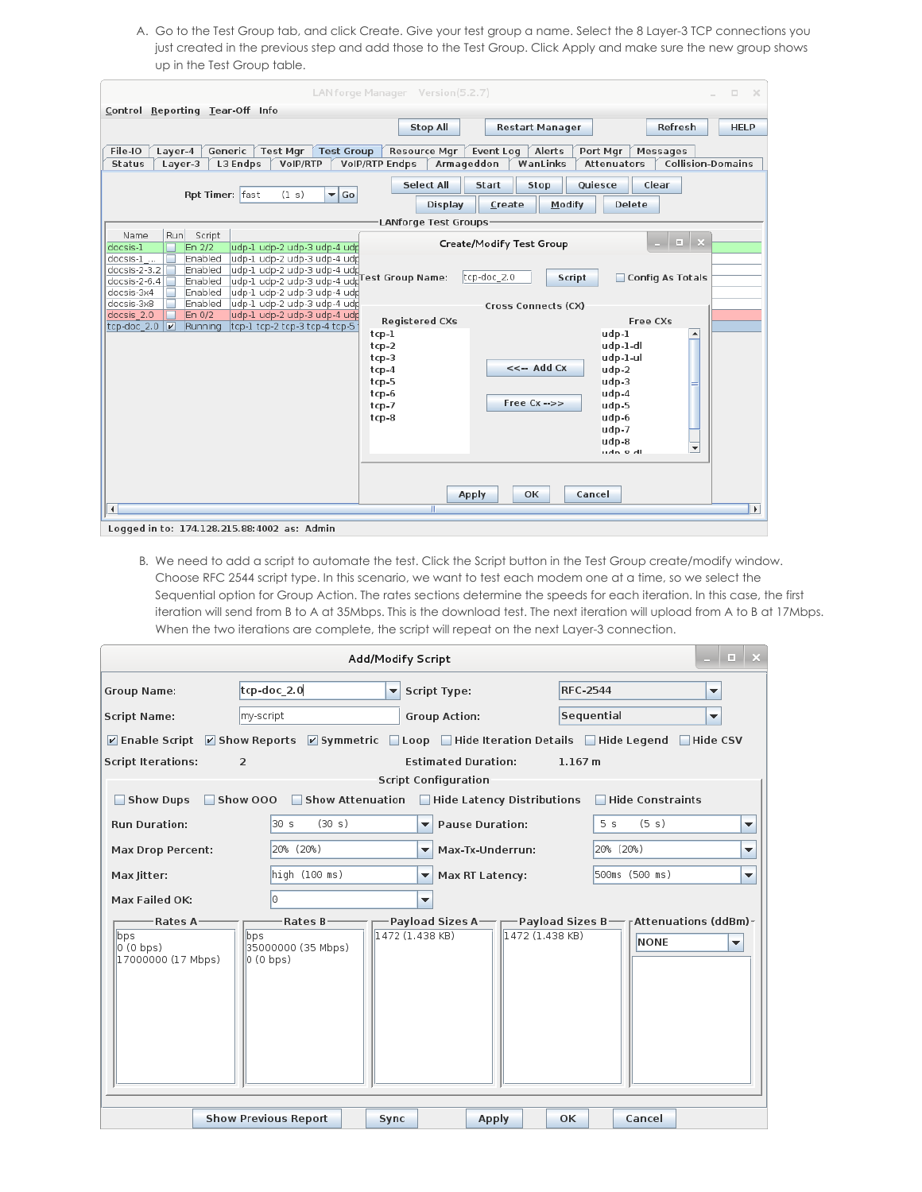A. Go to the Test Group tab, and click Create. Give your test group a name. Select the 8 Layer-3 TCP connections you just created in the previous step and add those to the Test Group. Click Apply and make sure the new group shows up in the Test Group table.

| LANforge Manager Version(5.2.7)<br>$\Box$                                                                                                                                                                                                                                                             | $\propto$    |
|-------------------------------------------------------------------------------------------------------------------------------------------------------------------------------------------------------------------------------------------------------------------------------------------------------|--------------|
| Control Reporting Tear-Off Info                                                                                                                                                                                                                                                                       |              |
| Refresh<br><b>Stop All</b><br><b>Restart Manager</b>                                                                                                                                                                                                                                                  | <b>HELP</b>  |
| Generic<br><b>Test Mgr</b><br>Test Group<br>File-IO<br><b>Resource Mgr</b><br>Event Log<br>Alerts<br>Port Mgr                                                                                                                                                                                         |              |
| Layer-4<br>Messages<br><b>Collision-Domains</b><br>L3 Endps<br><b>VoIP/RTP Endps</b><br>Armageddon<br>WanLinks<br>Attenuators<br>Status<br>Layer-3<br>VoIP/RTP                                                                                                                                        |              |
|                                                                                                                                                                                                                                                                                                       |              |
| <b>Select All</b><br>Quiesce<br>Clear<br>Start<br>Stop<br>Rpt Timer: fast<br>$\overline{\phantom{a}}$ Go<br>(1 s)                                                                                                                                                                                     |              |
| Modify<br><b>Delete</b><br><b>Display</b><br>Create                                                                                                                                                                                                                                                   |              |
| LANforge Test Groups.                                                                                                                                                                                                                                                                                 |              |
| Run<br>Script<br>Name<br>$\begin{array}{c c c c c c} \hline \rule{0pt}{16pt} & \rule{0pt}{16pt} \quad & \rule{0pt}{16pt} \end{array} \quad \text{or} \quad \begin{array}{c c c c} \hline \rule{0pt}{16pt} & \rule{0pt}{16pt} \quad & \rule{0pt}{16pt} \end{array}$<br><b>Create/Modify Test Group</b> |              |
| docsis-1<br>En 2/2<br>udp-1 udp-2 udp-3 udp-4 udp<br>Enabled<br>udp-1 udp-2 udp-3 udp-4 udp<br>docsis-1                                                                                                                                                                                               |              |
| udp-1 udp-2 udp-3 udp-4 udp<br>docsis-2-3.2<br>Enabled<br>tcp-doc 2.0<br>Config As Totals<br><b>Script</b>                                                                                                                                                                                            |              |
| udp-1 udp-2 udp-3 udp-4 udpTest Group Name:<br>Enabled<br>docsis-2-6.4<br>Enabled<br>udp-1 udp-2 udp-3 udp-4 udp<br>docsis-3x4                                                                                                                                                                        |              |
| Enabled<br>udp-1 udp-2 udp-3 udp-4 udp<br>docsis-3x8<br>$\overline{\phantom{0}}$<br>Cross Connects (CX)                                                                                                                                                                                               |              |
| docsis 2.0<br>udp-1 udp-2 udp-3 udp-4 udp<br>En 0/2<br><b>Registered CXs</b><br><b>Free CXs</b>                                                                                                                                                                                                       |              |
| tcp-doc_2.0<br>$\overline{\mathbf{v}}$<br>tcp-1 tcp-2 tcp-3 tcp-4 tcp-5<br>Running<br>$\blacktriangle$<br>udp-1<br>$top-1$                                                                                                                                                                            |              |
| udp-1-dl<br>$top-2$                                                                                                                                                                                                                                                                                   |              |
| udp-1-ul<br>$top-3$<br>$<< -$ Add $Cx$<br>udp-2<br>$top-4$                                                                                                                                                                                                                                            |              |
| udp-3<br>tcp-5                                                                                                                                                                                                                                                                                        |              |
| udp-4<br>tcp-6<br>Free $Cx \rightarrow$                                                                                                                                                                                                                                                               |              |
| $top-7$<br>udp-5<br>udp-6<br>tcp-8                                                                                                                                                                                                                                                                    |              |
| udp-7                                                                                                                                                                                                                                                                                                 |              |
| udp-8<br>$\overline{\phantom{a}}$                                                                                                                                                                                                                                                                     |              |
| udnodl                                                                                                                                                                                                                                                                                                |              |
|                                                                                                                                                                                                                                                                                                       |              |
| OK<br>Cancel<br><b>Apply</b>                                                                                                                                                                                                                                                                          |              |
| $\blacktriangleleft$<br>Ш                                                                                                                                                                                                                                                                             | $\mathbf{F}$ |
| Logged in to: 174.128.215.88:4002 as: Admin                                                                                                                                                                                                                                                           |              |

B. We need to add a script to automate the test. Click the Script button in the Test Group create/modify window. Choose RFC 2544 script type. In this scenario, we want to test each modem one at a time, so we select the Sequential option for Group Action. The rates sections determine the speeds for each iteration. In this case, the first iteration will send from B to A at 35Mbps. This is the download test. The next iteration will upload from A to B at 17Mbps. When the two iterations are complete, the script will repeat on the next Layer-3 connection.

| $   \times$<br><b>Add/Modify Script</b>   |                                         |                                                      |                                                                                                            |  |  |  |  |  |  |  |  |
|-------------------------------------------|-----------------------------------------|------------------------------------------------------|------------------------------------------------------------------------------------------------------------|--|--|--|--|--|--|--|--|
| <b>Group Name:</b>                        | tcp-doc 2.0                             | <b>Script Type:</b><br>$\overline{\phantom{a}}$      | <b>RFC-2544</b><br>▼                                                                                       |  |  |  |  |  |  |  |  |
| <b>Script Name:</b>                       | my-script                               | <b>Group Action:</b>                                 | Sequential<br>$\overline{\mathbf{v}}$                                                                      |  |  |  |  |  |  |  |  |
|                                           |                                         |                                                      | <b>☑ Enable Script</b>   Show Reports   Symmetric   Loop   Hide Iteration Details   Hide Legend   Hide CSV |  |  |  |  |  |  |  |  |
| <b>Script Iterations:</b>                 | $\overline{2}$                          | <b>Estimated Duration:</b>                           | 1.167 m                                                                                                    |  |  |  |  |  |  |  |  |
|                                           |                                         | <b>Script Configuration</b>                          |                                                                                                            |  |  |  |  |  |  |  |  |
| Show Dups                                 |                                         | Show 000 Show Attenuation Hide Latency Distributions | Hide Constraints                                                                                           |  |  |  |  |  |  |  |  |
| <b>Run Duration:</b>                      | (30 s)<br>30 <sub>s</sub>               | <b>Pause Duration:</b><br>▼                          | (5 s)<br>5 <sub>s</sub><br>▼                                                                               |  |  |  |  |  |  |  |  |
| <b>Max Drop Percent:</b>                  | 20% (20%)                               | Max-Tx-Underrun:<br>$\overline{\phantom{a}}$         | 20% (20%)<br>▼                                                                                             |  |  |  |  |  |  |  |  |
| Max Jitter:                               | high (100 ms)                           | Max RT Latency:<br>٠                                 | 500ms (500 ms)<br>٠                                                                                        |  |  |  |  |  |  |  |  |
| Max Failed OK:                            | l٥                                      | $\overline{\phantom{a}}$                             |                                                                                                            |  |  |  |  |  |  |  |  |
| Rates A-                                  | -Rates B-                               |                                                      | -Payload Sizes A— — Payload Sizes B— rAttenuations (ddBm)-                                                 |  |  |  |  |  |  |  |  |
| bps<br>$ 0(0-bps) $<br>17000000 (17 Mbps) | bps <br>35000000 (35 Mbps)<br> 0(0 bps) | 1472 (1.438 KB)<br>1472 (1.438 KB)                   | <b>NONE</b><br>▼                                                                                           |  |  |  |  |  |  |  |  |
|                                           | <b>Show Previous Report</b>             | Sync<br><b>Apply</b>                                 | Cancel<br>OK                                                                                               |  |  |  |  |  |  |  |  |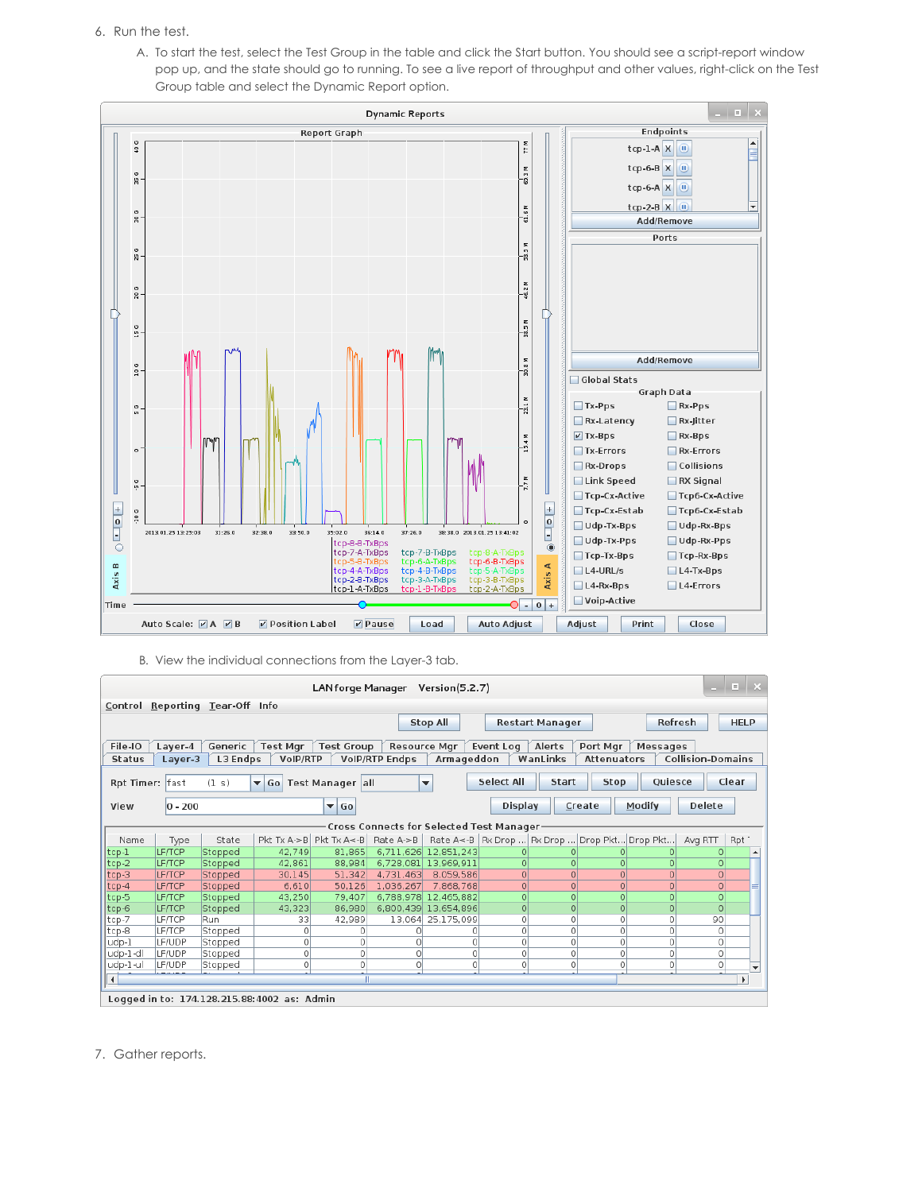- 6. Run the test.
	- A. To start the test, select the Test Group in the table and click the Start button. You should see a script-report window pop up, and the state should go to running. To see a live report of throughput and other values, right-click on the Test Group table and select the Dynamic Report option.



B. View the individual connections from the Layer-3 tab.

| LANforge Manager Version(5.2.7)                                                                                                             |               |          |                                             |                         |                       |                          |                                          |                                                       |                |                          |          | $\Box$ $\times$       |
|---------------------------------------------------------------------------------------------------------------------------------------------|---------------|----------|---------------------------------------------|-------------------------|-----------------------|--------------------------|------------------------------------------|-------------------------------------------------------|----------------|--------------------------|----------|-----------------------|
| Reporting Tear-Off Info<br>Control                                                                                                          |               |          |                                             |                         |                       |                          |                                          |                                                       |                |                          |          |                       |
| Refresh<br><b>HELP</b><br><b>Stop All</b><br><b>Restart Manager</b>                                                                         |               |          |                                             |                         |                       |                          |                                          |                                                       |                |                          |          |                       |
|                                                                                                                                             |               |          |                                             |                         |                       |                          |                                          |                                                       |                |                          |          |                       |
| File-IO<br>Generic<br><b>Test Mar</b><br><b>Test Group</b><br><b>Resource Mar</b><br>Event Log<br>Alerts<br>Port Mar<br>Layer-4<br>Messages |               |          |                                             |                         |                       |                          |                                          |                                                       |                |                          |          |                       |
| <b>Status</b>                                                                                                                               | Laver-3       | L3 Endps | VoIP/RTP                                    |                         | <b>VoIP/RTP Endps</b> | Armageddon               |                                          | WanLinks                                              | Attenuators    | <b>Collision-Domains</b> |          |                       |
|                                                                                                                                             |               |          |                                             |                         |                       |                          |                                          |                                                       |                |                          |          |                       |
| Rpt Timer: fast                                                                                                                             |               | (1 s)    | $\blacktriangledown$ Go                     | Test Manager all        |                       | $\overline{\phantom{a}}$ | <b>Select All</b>                        | Start                                                 | <b>Stop</b>    | Oujesce                  | Clear    |                       |
| View                                                                                                                                        | $0 - 200$     |          |                                             | $\blacktriangledown$ Go |                       |                          | <b>Display</b>                           | Create                                                | Modify         |                          | Delete   |                       |
|                                                                                                                                             |               |          |                                             |                         |                       |                          |                                          |                                                       |                |                          |          |                       |
|                                                                                                                                             |               |          |                                             |                         |                       |                          | Cross Connects for Selected Test Manager |                                                       |                |                          |          |                       |
| Name                                                                                                                                        | Type          | State    |                                             | Pkt Tx A->B Pkt Tx A<-B | Rate A->B             |                          |                                          | Rate A<-B   Rx Drop    Rx Drop    Drop Pkt   Drop Pkt |                | Avg RTT                  |          | Rpt <sup>-</sup>      |
| tcp-1                                                                                                                                       | <b>LF/TCP</b> | Stopped  | 42.749                                      | 81,865                  | 6.711.626             | 12.851.243               | Ω                                        |                                                       |                |                          |          |                       |
| $ top-2 $                                                                                                                                   | <b>LF/TCP</b> | Stopped  | 42,861                                      | 88,984                  | 6.728.081             | 13,969,911               | O                                        |                                                       | $\Omega$       |                          | $\Omega$ |                       |
| $ top-3 $                                                                                                                                   | <b>LF/TCP</b> | Stopped  | 30.145                                      | 51,342                  | 4.731.463             | 8,059,586                | $\Omega$                                 | $\Omega$                                              | $\Omega$       | $\Omega$                 | $\Omega$ |                       |
| $ top-4$                                                                                                                                    | <b>LF/TCP</b> | Stopped  | 6,610                                       | 50,126                  | 1,036,267             | 7,868,768                | $\Omega$                                 | $\Omega$                                              | $\Omega$       | $\Omega$                 | $\circ$  |                       |
| tcp-5                                                                                                                                       | <b>LF/TCP</b> | Stopped  | 43,250                                      | 79,407                  | 6,788,978             | 12,465,882               | 0                                        |                                                       | O              | O                        | $\circ$  |                       |
| $ top-6$                                                                                                                                    | <b>LF/TCP</b> | Stopped  | 43,323                                      | 86,980                  | 6,800,439             | 13,654,896               | 0                                        |                                                       | $\overline{0}$ | 0                        |          |                       |
| tcp-7                                                                                                                                       | <b>LF/TCP</b> | Run      | 33                                          | 42.989                  | 13,064                | 25,175,099               | 0                                        | O                                                     | $\circ$        | $\circ$                  | 90       |                       |
| tcp-8                                                                                                                                       | <b>LF/TCP</b> | Stopped  | 0                                           | 0                       | Ω                     | 0.                       | 0                                        | Ω                                                     | $\circ$        | $\Omega$                 | 0        |                       |
| udp-1                                                                                                                                       | LF/UDP        | Stopped  | 0                                           | 0                       | 0                     | $\Omega$                 | 0                                        | 0                                                     | 0              | $\circ$                  | 0        |                       |
| udp-1-dl                                                                                                                                    | LF/UDP        | Stopped  | $\circ$                                     | 0                       | 0                     | 0                        | 0                                        | 0                                                     | 0              | $\circ$                  | $\circ$  |                       |
| udp-1-ul                                                                                                                                    | LF/UDP        | Stopped  | $\circ$                                     | 0                       | 0                     | 0                        | 0                                        |                                                       | 0              | 0                        | $\circ$  |                       |
| $\blacktriangleleft$                                                                                                                        |               |          |                                             |                         |                       |                          |                                          |                                                       |                |                          |          | $\blacktriangleright$ |
|                                                                                                                                             |               |          | Logged in to: 174.128.215.88:4002 as: Admin |                         |                       |                          |                                          |                                                       |                |                          |          |                       |

7. Gather reports.